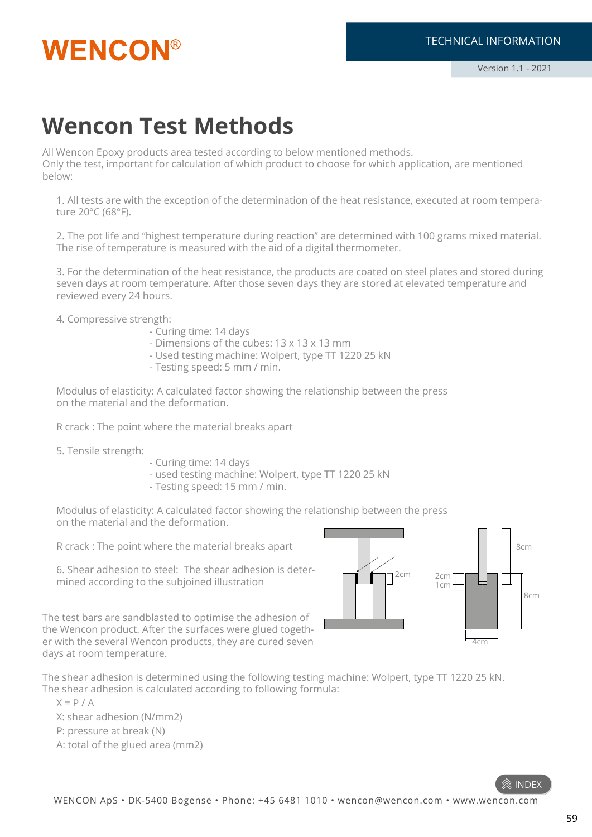

### **Wencon Test Methods**

All Wencon Epoxy products area tested according to below mentioned methods. Only the test, important for calculation of which product to choose for which application, are mentioned below:

1. All tests are with the exception of the determination of the heat resistance, executed at room temperature 20°C (68°F).

2. The pot life and "highest temperature during reaction" are determined with 100 grams mixed material. The rise of temperature is measured with the aid of a digital thermometer.

3. For the determination of the heat resistance, the products are coated on steel plates and stored during seven days at room temperature. After those seven days they are stored at elevated temperature and reviewed every 24 hours.

4. Compressive strength:

- Curing time: 14 days
- Dimensions of the cubes: 13 x 13 x 13 mm
- Used testing machine: Wolpert, type TT 1220 25 kN
- Testing speed: 5 mm / min.

Modulus of elasticity: A calculated factor showing the relationship between the press on the material and the deformation.

R crack : The point where the material breaks apart

- 5. Tensile strength:
- Curing time: 14 days
- used testing machine: Wolpert, type TT 1220 25 kN
- Testing speed: 15 mm / min.

Modulus of elasticity: A calculated factor showing the relationship between the press on the material and the deformation.

R crack : The point where the material breaks apart

6. Shear adhesion to steel: The shear adhesion is determined according to the subjoined illustration



The test bars are sandblasted to optimise the adhesion of the Wencon product. After the surfaces were glued together with the several Wencon products, they are cured seven days at room temperature.

The shear adhesion is determined using the following testing machine: Wolpert, type TT 1220 25 kN. The shear adhesion is calculated according to following formula:

 $X = P / A$ 

X: shear adhesion (N/mm2)

P: pressure at break (N)

A: total of the glued area (mm2)

 $\mathbin{\hat{\otimes}}$  index